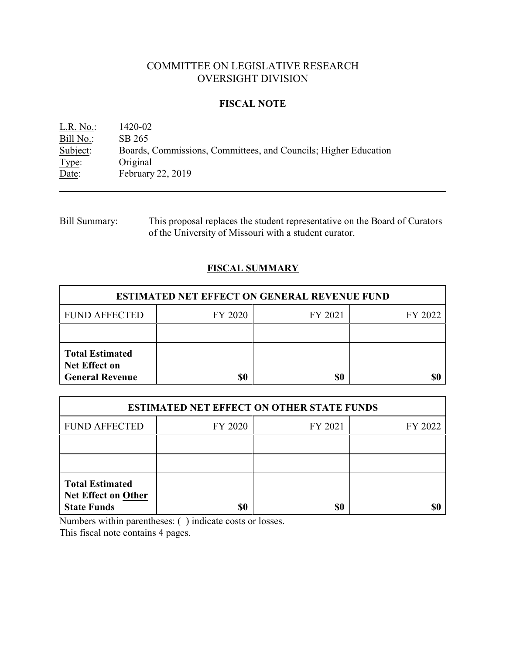# COMMITTEE ON LEGISLATIVE RESEARCH OVERSIGHT DIVISION

### **FISCAL NOTE**

L.R. No.: 1420-02 Bill No.: SB 265<br>Subject: Boards, Subject: Boards, Commissions, Committees, and Councils; Higher Education Type: Original Type: Original<br>Date: February February 22, 2019

| <b>Bill Summary:</b> | This proposal replaces the student representative on the Board of Curators |
|----------------------|----------------------------------------------------------------------------|
|                      | of the University of Missouri with a student curator.                      |

## **FISCAL SUMMARY**

| <b>ESTIMATED NET EFFECT ON GENERAL REVENUE FUND</b>                      |         |         |         |  |
|--------------------------------------------------------------------------|---------|---------|---------|--|
| <b>FUND AFFECTED</b>                                                     | FY 2020 | FY 2021 | FY 2022 |  |
|                                                                          |         |         |         |  |
| <b>Total Estimated</b><br><b>Net Effect on</b><br><b>General Revenue</b> | \$0     | \$0     |         |  |

| <b>ESTIMATED NET EFFECT ON OTHER STATE FUNDS</b>                           |         |         |         |  |
|----------------------------------------------------------------------------|---------|---------|---------|--|
| <b>FUND AFFECTED</b>                                                       | FY 2020 | FY 2021 | FY 2022 |  |
|                                                                            |         |         |         |  |
|                                                                            |         |         |         |  |
| <b>Total Estimated</b><br><b>Net Effect on Other</b><br><b>State Funds</b> | \$0     | \$0     |         |  |

Numbers within parentheses: ( ) indicate costs or losses.

This fiscal note contains 4 pages.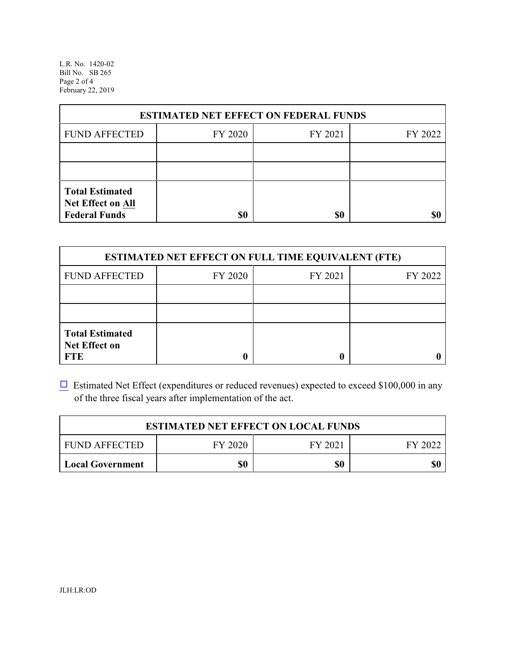L.R. No. 1420-02 Bill No. SB 265 Page 2 of 4 February 22, 2019

| <b>ESTIMATED NET EFFECT ON FEDERAL FUNDS</b>                        |         |         |         |  |
|---------------------------------------------------------------------|---------|---------|---------|--|
| <b>FUND AFFECTED</b>                                                | FY 2020 | FY 2021 | FY 2022 |  |
|                                                                     |         |         |         |  |
|                                                                     |         |         |         |  |
| <b>Total Estimated</b><br>Net Effect on All<br><b>Federal Funds</b> | \$0     | \$0     |         |  |

| <b>ESTIMATED NET EFFECT ON FULL TIME EQUIVALENT (FTE)</b>    |         |         |         |  |
|--------------------------------------------------------------|---------|---------|---------|--|
| <b>FUND AFFECTED</b>                                         | FY 2020 | FY 2021 | FY 2022 |  |
|                                                              |         |         |         |  |
|                                                              |         |         |         |  |
| <b>Total Estimated</b><br><b>Net Effect on</b><br><b>FTE</b> |         |         |         |  |

 $\Box$  Estimated Net Effect (expenditures or reduced revenues) expected to exceed \$100,000 in any of the three fiscal years after implementation of the act.

| <b>ESTIMATED NET EFFECT ON LOCAL FUNDS</b>            |     |     |     |  |  |
|-------------------------------------------------------|-----|-----|-----|--|--|
| FY 2020<br><b>FUND AFFECTED</b><br>FY 2021<br>FY 2022 |     |     |     |  |  |
| <b>Local Government</b>                               | \$0 | \$0 | \$0 |  |  |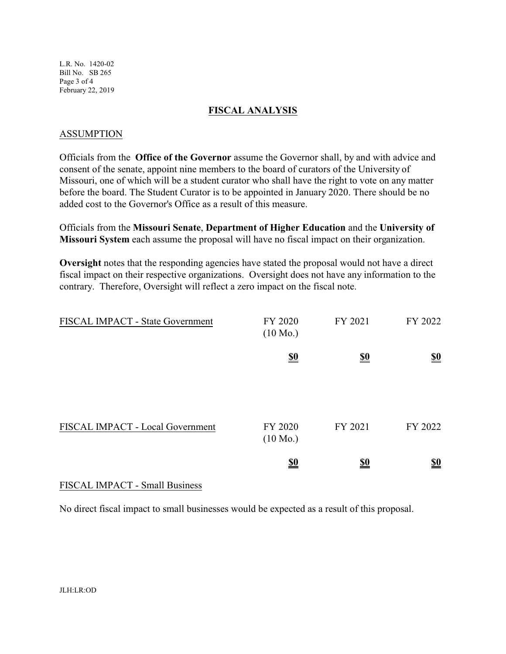L.R. No. 1420-02 Bill No. SB 265 Page 3 of 4 February 22, 2019

#### **FISCAL ANALYSIS**

#### ASSUMPTION

Officials from the **Office of the Governor** assume the Governor shall, by and with advice and consent of the senate, appoint nine members to the board of curators of the University of Missouri, one of which will be a student curator who shall have the right to vote on any matter before the board. The Student Curator is to be appointed in January 2020. There should be no added cost to the Governor's Office as a result of this measure.

Officials from the **Missouri Senate**, **Department of Higher Education** and the **University of Missouri System** each assume the proposal will have no fiscal impact on their organization.

**Oversight** notes that the responding agencies have stated the proposal would not have a direct fiscal impact on their respective organizations. Oversight does not have any information to the contrary. Therefore, Oversight will reflect a zero impact on the fiscal note.

| FISCAL IMPACT - State Government | FY 2020<br>$(10 \text{ Mo.})$ | FY 2021    | FY 2022                       |
|----------------------------------|-------------------------------|------------|-------------------------------|
|                                  | $\underline{\underline{\$0}}$ | <u>so</u>  | $\underline{\underline{\$0}}$ |
| FISCAL IMPACT - Local Government | FY 2020<br>$(10 \text{ Mo.})$ | FY 2021    | FY 2022                       |
|                                  | $\underline{\underline{\$0}}$ | <u>\$0</u> | <u>\$0</u>                    |

### FISCAL IMPACT - Small Business

No direct fiscal impact to small businesses would be expected as a result of this proposal.